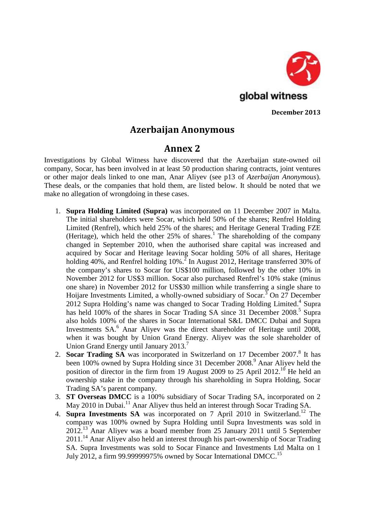

**December 2013**

## **Azerbaijan Anonymous**

## **Annex 2**

Investigations by Global Witness have discovered that the Azerbaijan state-owned oil company, Socar, has been involved in at least 50 production sharing contracts, joint ventures or other major deals linked to one man, Anar Aliyev (see p13 of*Azerbaijan Anonymous*). These deals, or the companies that hold them, are listed below. It should be noted that we make no allegation of wrongdoing in these cases.

- 1. **Supra Holding Limited (Supra)** was incorporated on 11 December 2007 in Malta. The initial shareholders were Socar, which held 50% of the shares; Renfrel Holding Limited (Renfrel), which held 25% of the shares; and Heritage General Trading FZE (Heritage), which held the other  $25\%$  of shares.<sup>1</sup> The shareholding of the company changed in September 2010, when the authorised share capital was increased and acquired by Socar and Heritage leaving Socar holding 50% of all shares, Heritage holding 40%, and Renfrel holding  $10\%$ .<sup>2</sup> In August 2012, Heritage transferred 30% of the company's shares to Socar for US\$100 million, followed by the other 10% in November 2012 for US\$3 million. Socar also purchased Renfrel's 10% stake (minus one share) in November 2012 for US\$30 million while transferring a single share to Hoijare Investments Limited, a wholly-owned subsidiary of Socar.<sup>3</sup> On 27 December 2012 Supra Holding's name was changed to Socar Trading Holding Limited.<sup>4</sup> Supra has held 100% of the shares in Socar Trading SA since 31 December  $2008$ <sup>5</sup> Supra also holds 100% of the shares in Socar International S&L DMCC Dubai and Supra Investments SA.<sup>6</sup> Anar Aliyev was the direct shareholder of Heritage until 2008, when it was bought by Union Grand Energy. Aliyev was the sole shareholder of Union Grand Energy until January 2013.<sup>7</sup>
- 2. **Socar Trading SA** was incorporated in Switzerland on 17 December 2007.<sup>8</sup> It has been 100% owned by Supra Holding since 31 December 2008.<sup>9</sup> Anar Aliyev held the position of director in the firm from 19 August 2009 to 25 April  $2012$ .<sup>10</sup> He held an ownership stake in the company through his shareholding in Supra Holding, Socar Trading SA's parent company.
- 3. **ST Overseas DMCC** is a 100% subsidiary of Socar Trading SA, incorporated on 2 May 2010 in Dubai.<sup>11</sup> Anar Aliyev thus held an interest through Socar Trading SA.
- 4. **Supra Investments SA** was incorporated on 7 April 2010 in Switzerland.<sup>12</sup> The company was 100% owned by Supra Holding until Supra Investments was sold in 2012.<sup>13</sup> Anar Aliyev was a board member from 25 January 2011 until 5 September 2011.<sup>14</sup> Anar Aliyev also held an interest through his part-ownership of Socar Trading SA. Supra Investments was sold to Socar Finance and Investments Ltd Malta on 1 July 2012, a firm 99.99999975% owned by Socar International DMCC.<sup>15</sup>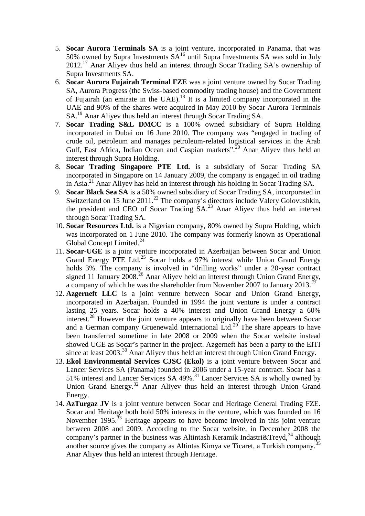- 5. **Socar Aurora Terminals SA** is a joint venture, incorporated in Panama, that was 50% owned by Supra Investments  $SA^{16}$  until Supra Investments SA was sold in July 2012.<sup>17</sup> Anar Aliyev thus held an interest through Socar Trading SA's ownership of Supra Investments SA.
- 6. **Socar Aurora Fujairah Terminal FZE** was a joint venture owned by Socar Trading SA, Aurora Progress (the Swiss-based commodity trading house) and the Government of Fujairah (an emirate in the UAE).<sup>18</sup> It is a limited company incorporated in the UAE and 90% of the shares were acquired in May 2010 by Socar Aurora Terminals SA.<sup>19</sup> Anar Aliyev thus held an interest through Socar Trading SA.
- 7. **Socar Trading S&L DMCC** is a 100% owned subsidiary of Supra Holding incorporated in Dubai on 16 June 2010. The company was "engaged in trading of crude oil, petroleum and manages petroleum-related logistical services in the Arab Gulf, East Africa, Indian Ocean and Caspian markets".<sup>20</sup> Anar Aliyev thus held an interest through Supra Holding.
- 8. **Socar Trading Singapore PTE Ltd.** is a subsidiary of Socar Trading SA incorporated in Singapore on 14 January 2009, the company is engaged in oil trading in Asia.<sup>21</sup> Anar Aliyev has held an interest through his holding in Socar Trading SA.
- 9. **Socar Black Sea SA** is a 50% owned subsidiary of Socar Trading SA, incorporated in Switzerland on 15 June 2011.<sup>22</sup> The company's directors include Valery Golovushkin, the president and CEO of Socar Trading  $SA^{23}$  Anar Aliyev thus held an interest through Socar Trading SA.
- 10. **Socar Resources Ltd.** is a Nigerian company, 80% owned by Supra Holding, which was incorporated on 1 June 2010. The company was formerly known as Operational Global Concept Limited.<sup>24</sup>
- 11. **Socar-UGE** is a joint venture incorporated in Azerbaijan between Socar and Union Grand Energy PTE Ltd.<sup>25</sup> Socar holds a 97% interest while Union Grand Energy holds 3%. The company is involved in "drilling works" under a 20-year contract signed 11 January  $2008^{26}$  Anar Aliyev held an interest through Union Grand Energy, a company of which he was the shareholder from November 2007 to January 2013.<sup>2</sup>
- 12. **Azgerneft LLC** is a joint venture between Socar and Union Grand Energy, incorporated in Azerbaijan. Founded in 1994 the joint venture is under a contract lasting 25 years. Socar holds a 40% interest and Union Grand Energy a 60% interest.<sup>28</sup> However the joint venture appears to originally have been between Socar and a German company Gruenewald International Ltd.<sup>29</sup> The share appears to have been transferred sometime in late 2008 or 2009 when the Socar website instead showed UGE as Socar's partner in the project. Azgerneft has been a party to the EITI since at least 2003.<sup>30</sup> Anar Aliyev thus held an interest through Union Grand Energy.
- 13. **Ekol Environmental Services CJSC (Ekol)** is a joint venture between Socar and Lancer Services SA (Panama) founded in 2006 under a 15-year contract. Socar has a 51% interest and Lancer Services SA 49%.<sup>31</sup> Lancer Services SA is wholly owned by Union Grand Energy.<sup>32</sup> Anar Aliyev thus held an interest through Union Grand Energy.
- 14. **AzTurgaz JV** is a joint venture between Socar and Heritage General Trading FZE. Socar and Heritage both hold 50% interests in the venture, which was founded on 16 November 1995.<sup>33</sup> Heritage appears to have become involved in this joint venture between 2008 and 2009. According to the Socar website, in December 2008 the company's partner in the business was Altintash Keramik Indastri $\&$ Treyd,  $34$  although another source gives the company as Altintas Kimya ve Ticaret, a Turkish company.<sup>35</sup> Anar Aliyev thus held an interest through Heritage.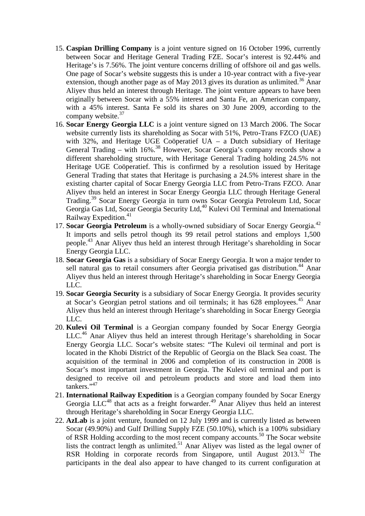- 15. **Caspian Drilling Company** is a joint venture signed on 16 October 1996, currently between Socar and Heritage General Trading FZE. Socar's interest is 92.44% and Heritage's is 7.56%. The joint venture concerns drilling of offshore oil and gas wells. One page of Socar's website suggests this is under a 10-year contract with a five-year extension, though another page as of May 2013 gives its duration as unlimited.<sup>36</sup> Anar Aliyev thus held an interest through Heritage. The joint venture appears to have been originally between Socar with a 55% interest and Santa Fe, an American company, with a 45% interest. Santa Fe sold its shares on 30 June 2009, according to the company website.<sup>37</sup>
- 16. **Socar Energy Georgia LLC** is a joint venture signed on 13 March 2006. The Socar website currently lists its shareholding as Socar with 51%, Petro-Trans FZCO (UAE) with 32%, and Heritage UGE Coöperatief UA – a Dutch subsidiary of Heritage General Trading – with  $16\%$ .<sup>38</sup> However, Socar Georgia's company records show a different shareholding structure, with Heritage General Trading holding 24.5% not Heritage UGE Coöperatief. This is confirmed by a resolution issued by Heritage General Trading that states that Heritage is purchasing a 24.5% interest share in the existing charter capital of Socar Energy Georgia LLC from Petro-Trans FZCO. Anar Aliyev thus held an interest in Socar Energy Georgia LLC through Heritage General Trading.<sup>39</sup> Socar Energy Georgia in turn owns Socar Georgia Petroleum Ltd, Socar Georgia Gas Ltd, Socar Georgia Security Ltd,<sup>40</sup> Kulevi Oil Terminal and International Railway Expedition.<sup>41</sup>
- 17. **Socar Georgia Petroleum** is a wholly-owned subsidiary of Socar Energy Georgia.<sup>42</sup> It imports and sells petrol though its 99 retail petrol stations and employs 1,500 people.<sup>43</sup> Anar Aliyev thus held an interest through Heritage's shareholding in Socar Energy Georgia LLC.
- 18. **Socar Georgia Gas** is a subsidiary of Socar Energy Georgia. It won a major tender to sell natural gas to retail consumers after Georgia privatised gas distribution.<sup>44</sup> Anar Aliyev thus held an interest through Heritage's shareholding in Socar Energy Georgia LLC.
- 19. **Socar Georgia Security** is a subsidiary of Socar Energy Georgia. It provides security at Socar's Georgian petrol stations and oil terminals; it has 628 employees.<sup>45</sup> Anar Aliyev thus held an interest through Heritage's shareholding in Socar Energy Georgia LLC.
- 20. **Kulevi Oil Terminal** is a Georgian company founded by Socar Energy Georgia LLC.<sup>46</sup> Anar Aliyev thus held an interest through Heritage's shareholding in Socar Energy Georgia LLC. Socar's website states: "The Kulevi oil terminal and port is located in the Khobi District of the Republic of Georgia on the Black Sea coast. The acquisition of the terminal in 2006 and completion of its construction in 2008 is Socar's most important investment in Georgia. The Kulevi oil terminal and port is designed to receive oil and petroleum products and store and load them into tankers."<sup>47</sup>
- 21. **International Railway Expedition** is a Georgian company founded by Socar Energy Georgia  $LLC^{48}$  that acts as a freight forwarder.<sup>49</sup> Anar Aliyev thus held an interest through Heritage's shareholding in Socar Energy Georgia LLC.
- 22. **AzLab** is a joint venture, founded on 12 July 1999 and is currently listed as between Socar (49.90%) and Gulf Drilling Supply FZE (50.10%), which is a 100% subsidiary of RSR Holding according to the most recent company accounts.<sup>50</sup> The Socar website lists the contract length as unlimited.<sup>51</sup> Anar Aliyev was listed as the legal owner of RSR Holding in corporate records from Singapore, until August  $2013$ <sup>52</sup> The participants in the deal also appear to have changed to its current configuration at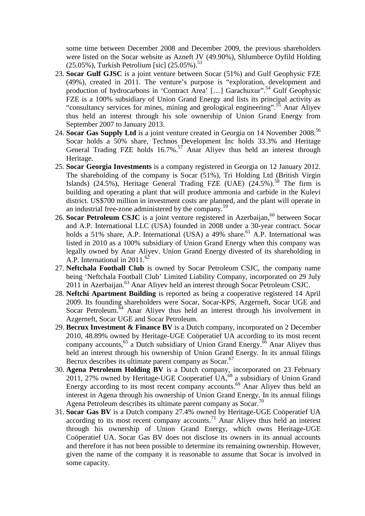some time between December 2008 and December 2009, the previous shareholders were listed on the Socar website as Azneft JV (49.90%), Shlumberce Oyfild Holding  $(25.05\%)$ , Turkish Petrolium [sic]  $(25.05\%)$ .<sup>53</sup>

- 23. **Socar Gulf GJSC** is a joint venture between Socar (51%) and Gulf Geophysic FZE (49%), created in 2011. The venture's purpose is "exploration, development and production of hydrocarbons in 'Contract Area' [...] Garachuxur".<sup>54</sup> Gulf Geophysic FZE is a 100% subsidiary of Union Grand Energy and lists its principal activity as "consultancy services for mines, mining and geological engineering".<sup>55</sup> Anar Aliyev thus held an interest through his sole ownership of Union Grand Energy from September 2007 to January 2013.
- 24. **Socar Gas Supply Ltd** is a joint venture created in Georgia on 14 November 2008.<sup>56</sup> Socar holds a 50% share, Technos Development nc holds 33.3% and Heritage General Trading FZE holds 16.7%.<sup>57</sup> Anar Aliyev thus held an interest through Heritage.
- 25. **Socar Georgia Investments** is a company registered in Georgia on 12 January 2012. The shareholding of the company is Socar (51%), Tri Holding Ltd (British Virgin Islands) (24.5%), Heritage General Trading FZE (UAE)  $(24.5\%)$ .<sup>58</sup> The firm is building and operating a plant that will produce ammonia and carbide in the Kulevi district. US\$700 million in investment costs are planned, and the plant will operate in an industrial free-zone administered by the company.<sup>59</sup>
- 26. **Socar Petroleum CSJC** is a joint venture registered in Azerbaijan,<sup>60</sup> between Socar and A.P. International LLC (USA) founded in 2008 under a 30-year contract. Socar holds a 51% share, A.P. International (USA) a 49% share.<sup>61</sup> A.P. International was listed in 2010 as a 100% subsidiary of Union Grand Energy when this company was legally owned by Anar Aliyev. Union Grand Energy divested of its shareholding in A.P. International in 2011.<sup>62</sup>
- 27. **Neftchala Football Club** is owned by Socar Petroleum CSJC, the company name being 'Neftchala Football Club' Limited Liability Company, incorporated on 29 July 2011 in Azerbaijan.<sup>63</sup> Anar Aliyev held an interest through Socar Petroleum CSJC.
- 28. **Neftchi Apartment Building** is reported as being a cooperative registered 14 April 2009. Its founding shareholders were Socar, Socar-KPS, Azgerneft, Socar UGE and Socar Petroleum.<sup>64</sup> Anar Aliyev thus held an interest through his involvement in Azgerneft, Socar UGE and Socar Petroleum.
- 29. **Becrux Investment & Finance BV** is a Dutch company, incorporated on 2 December 2010, 48.89% owned by Heritage-UGE Coöperatief UA according to its most recent company accounts,<sup>65</sup> a Dutch subsidiary of Union Grand Energy.<sup>66</sup> Anar Aliyev thus held an interest through his ownership of Union Grand Energy. In its annual filings Becrux describes its ultimate parent company as Socar.<sup>67</sup>
- 30. **Agena Petroleum Holding BV** is a Dutch company, incorporated on 23 February 2011, 27% owned by Heritage-UGE Cooperatief  $UA<sub>1</sub><sup>68</sup>$  a subsidiary of Union Grand Energy according to its most recent company accounts.<sup>69</sup> Anar Aliyev thus held an interest in Agena through his ownership of Union Grand Energy. In its annual filings Agena Petroleum describes its ultimate parent company as Socar.<sup>70</sup>
- 31. **Socar Gas BV** is a Dutch company 27.4% owned by Heritage-UGE Coöperatief UA according to its most recent company accounts.<sup>71</sup> Anar Aliyev thus held an interest through his ownership of Union Grand Energy, which owns Heritage-UGE Coöperatief UA. Socar Gas BV does not disclose its owners in its annual accounts and therefore it has not been possible to determine its remaining ownership. However, given the name of the company it is reasonable to assume that Socar is involved in some capacity.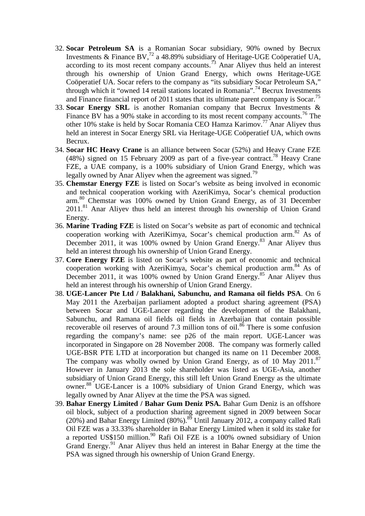- 32. **Socar Petroleum SA** is a Romanian Socar subsidiary, 90% owned by Becrux Investments & Finance BV,<sup>72</sup> a 48.89% subsidiary of Heritage-UGE Coöperatief UA, according to its most recent company accounts.<sup> $\frac{73}{2}$ </sup> Anar Aliyev thus held an interest through his ownership of Union Grand Energy, which owns Heritage-UGE Coöperatief UA. Socar refers to the company as "its subsidiary Socar Petroleum SA," through which it "owned 14 retail stations located in Romania".<sup>74</sup> Becrux Investments and Finance financial report of 2011 states that its ultimate parent company is Socar.<sup>75</sup>
- 33. **Socar Energy SRL** is another Romanian company that Becrux Investments & Finance BV has a 90% stake in according to its most recent company accounts.<sup>76</sup> The other 10% stake is held by Socar Romania CEO Hamza Karimov.<sup>77</sup> Anar Aliyev thus held an interest in Socar Energy SRL via Heritage-UGE Coöperatief UA, which owns Becrux.
- 34. **Socar HC Heavy Crane** is an alliance between Socar (52%) and Heavy Crane FZE (48%) signed on 15 February 2009 as part of a five-year contract.<sup>78</sup> Heavy Crane FZE, a UAE company, is a 100% subsidiary of Union Grand Energy, which was legally owned by Anar Aliyev when the agreement was signed.<sup>79</sup>
- 35. **Chemstar Energy FZE** is listed on Socar's website as being involved in economic and technical cooperation working with AzeriKimya, Socar's chemical production arm.<sup>80</sup> Chemstar was 100% owned by Union Grand Energy, as of 31 December 2011.<sup>81</sup> Anar Aliyev thus held an interest through his ownership of Union Grand Energy.
- 36. **Marine Trading FZE** is listed on Socar's website as part of economic and technical cooperation working with AzeriKimya, Socar's chemical production arm.<sup>82</sup> As of December 2011, it was 100% owned by Union Grand Energy.<sup>83</sup> Anar Aliyev thus held an interest through his ownership of Union Grand Energy.
- 37. **Core Energy FZE** is listed on Socar's website as part of economic and technical cooperation working with AzeriKimya, Socar's chemical production arm.<sup>84</sup> As of December 2011, it was 100% owned by Union Grand Energy.<sup>85</sup> Anar Aliyev thus held an interest through his ownership of Union Grand Energy.
- 38. **UGE-Lancer Pte Ltd / Balakhani, Sabunchu, and Ramana oil fields PSA**. On 6 May 2011 the Azerbaijan parliament adopted a product sharing agreement (PSA) between Socar and UGE-Lancer regarding the development of the Balakhani, Sabunchu, and Ramana oil fields oil fields in Azerbaijan that contain possible recoverable oil reserves of around 7.3 million tons of oil.<sup>86</sup> There is some confusion regarding the company's name: see p26 of the main report. UGE-Lancer was incorporated in Singapore on 28 November 2008. The company was formerly called UGE-BSR PTE LTD at incorporation but changed its name on 11 December 2008. The company was wholly owned by Union Grand Energy, as of 10 May  $2011$ <sup>87</sup> However in January 2013 the sole shareholder was listed as UGE-Asia, another subsidiary of Union Grand Energy, this still left Union Grand Energy as the ultimate owner.<sup>88</sup> UGE-Lancer is a 100% subsidiary of Union Grand Energy, which was legally owned by Anar Aliyev at the time the PSA was signed.
- 39. **Bahar Energy Limited / Bahar Gum Deniz PSA.** Bahar Gum Deniz is an offshore oil block, subject of a production sharing agreement signed in 2009 between Socar (20%) and Bahar Energy Limited  $(80\%)$ .<sup>89</sup> Until January 2012, a company called Rafi Oil FZE was a 33.33% shareholder in Bahar Energy Limited when it sold its stake for a reported US\$150 million.<sup>90</sup> Rafi Oil FZE is a 100% owned subsidiary of Union Grand Energy.<sup>91</sup> Anar Aliyev thus held an interest in Bahar Energy at the time the PSA was signed through his ownership of Union Grand Energy.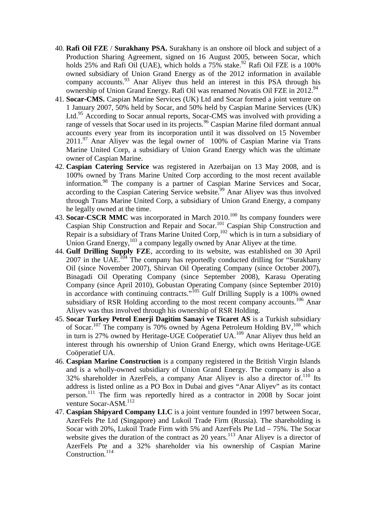- 40. **Rafi Oil FZE** / **Surakhany PSA.** Surakhany is an onshore oil block and subject of a Production Sharing Agreement, signed on 16 August 2005, between Socar, which holds 25% and Rafi Oil (UAE), which holds a  $75\%$  stake.<sup>92</sup> Rafi Oil FZE is a 100% owned subsidiary of Union Grand Energy as of the 2012 information in available company accounts.<sup>93</sup> Anar Aliyev thus held an interest in this PSA through his ownership of Union Grand Energy. Rafi Oil was renamed Novatis Oil FZE in 2012.<sup>94</sup>
- 41. **Socar-CMS.** Caspian Marine Services (UK) Ltd and Socar formed a joint venture on 1 January 2007, 50% held by Socar, and 50% held by Caspian Marine Services (UK) Ltd.<sup>95</sup> According to Socar annual reports, Socar-CMS was involved with providing a range of vessels that Socar used in its projects.<sup>96</sup> Caspian Marine filed dormant annual accounts every year from its incorporation until it was dissolved on 15 November  $2011.^{97}$  Anar Aliyev was the legal owner of 100% of Caspian Marine via Trans Marine United Corp, a subsidiary of Union Grand Energy which was the ultimate owner of Caspian Marine.
- 42. **Caspian Catering Service** was registered in Azerbaijan on 13 May 2008, and is 100% owned by Trans Marine United Corp according to the most recent available information.<sup>98</sup> The company is a partner of Caspian Marine Services and Socar, according to the Caspian Catering Service website.<sup>99</sup> Anar Aliyev was thus involved through Trans Marine United Corp, a subsidiary of Union Grand Energy, a company he legally owned at the time.
- 43. **Socar-CSCR MMC** was incorporated in March 2010.<sup>100</sup> Its company founders were Caspian Ship Construction and Repair and Socar.<sup>101</sup> Caspian Ship Construction and Repair is a subsidiary of Trans Marine United Corp,  $102$  which is in turn a subsidiary of Union Grand Energy,<sup>103</sup> a company legally owned by Anar Aliyev at the time.
- 44. **Gulf Drilling Supply FZE**, according to its website, was established on 30 April 2007 in the UAE.<sup>104</sup> The company has reportedly conducted drilling for "Surakhany" Oil (since November 2007), Shirvan Oil Operating Company (since October 2007), Binagadi Oil Operating Company (since September 2008), Karasu Operating Company (since April 2010), Gobustan Operating Company (since September 2010) in accordance with continuing contracts."<sup>105</sup> Gulf Drilling Supply is a 100% owned subsidiary of RSR Holding according to the most recent company accounts.<sup>106</sup> Anar Aliyev was thus involved through his ownership of RSR Holding.
- 45. **Socar Turkey Petrol Enerji Dagitim Sanayi ve Ticaret AS** is a Turkish subsidiary of Socar.<sup>107</sup> The company is 70% owned by Agena Petroleum Holding BV,<sup>108</sup> which in turn is 27% owned by Heritage-UGE Coöperatief  $UA$ .<sup>109</sup> Anar Aliyev thus held an interest through his ownership of Union Grand Energy, which owns Heritage-UGE Coöperatief UA.
- 46. **Caspian Marine Construction** is a company registered in the British Virgin Islands and is a wholly-owned subsidiary of Union Grand Energy. The company is also a 32% shareholder in AzerFels, a company Anar Aliyev is also a director of.<sup>110</sup> Its address is listed online as a PO Box in Dubai and gives "Anar Aliyev" as its contact person.<sup>111</sup> The firm was reportedly hired as a contractor in 2008 by Socar joint venture Socar-ASM.<sup>112</sup>
- 47. **Caspian Shipyard Company LLC** is a joint venture founded in 1997 between Socar, AzerFels Pte Ltd (Singapore) and Lukoil Trade Firm (Russia). The shareholding is Socar with 20%, Lukoil Trade Firm with 5% and AzerFels Pte Ltd – 75%. The Socar website gives the duration of the contract as 20 years.<sup>113</sup> Anar Aliyev is a director of AzerFels Pte and a 32% shareholder via his ownership of Caspian Marine Construction.<sup>114</sup>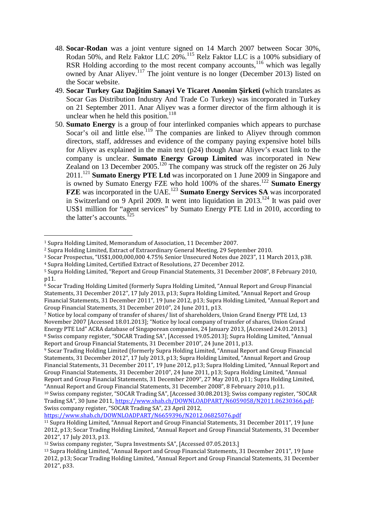- 48. **Socar-Rodan** was a joint venture signed on 14 March 2007 between Socar 30%, Rodan 50%, and Relz Faktor LLC 20%.<sup>115</sup> Relz Faktor LLC is a 100% subsidiary of RSR Holding according to the most recent company accounts,  $116$  which was legally owned by Anar Aliyev.<sup>117</sup> The joint venture is no longer (December 2013) listed on the Socar website.
- 49. **Socar Turkey Gaz Da itim Sanayi Ve Ticaret Anonim irketi** (which translates as Socar Gas Distribution Industry And Trade Co Turkey) was incorporated in Turkey on 21 September 2011. Anar Aliyev was a former director of the firm although it is unclear when he held this position.<sup>118</sup>
- 50. **Sumato Energy** is a group of four interlinked companies which appears to purchase Socar's oil and little else.<sup>119</sup> The companies are linked to Aliyev through common directors, staff, addresses and evidence of the company paying expensive hotel bills for Aliyev as explained in the main text (p24) though Anar Aliyev's exact link to the company is unclear. **Sumato Energy Group Limited** was incorporated in New Zealand on 13 December 2005.<sup>120</sup> The company was struck off the register on 26 July 2011.<sup>121</sup> Sumato Energy PTE Ltd was incorporated on 1 June 2009 in Singapore and is owned by Sumato Energy FZE who hold 100% of the shares.<sup>122</sup> **Sumato Energy FZE** was incorporated in the UAE.<sup>123</sup> **Sumato Energy Services SA** was incorporated in Switzerland on 9 April 2009. It went into liquidation in  $2013$ <sup> $124$ </sup> It was paid over US\$1 million for "agent services" by Sumato Energy PTE Ltd in 2010, according to the latter's accounts.<sup>125</sup>

https://www.shab.ch/DOWNLOADPART/N6659396/N2012.06825076.pdf

<sup>1</sup> Supra Holding Limited, Memorandum of Association, 11 December 2007.

<sup>2</sup> Supra Holding Limited, Extract of Extraordinary General Meeting, 29 September 2010.

<sup>3</sup> Socar Prospectus, "US\$1,000,000,000 4.75% Senior Unsecured Notes due 2023", 11 March 2013, p38.

<sup>4</sup> Supra Holding Limited, Certified Extract of Resolutions, 27 December 2012.

<sup>5</sup> Supra Holding Limited, "Report and Group Financial Statements, 31 December 2008", 8 February 2010, p11.

<sup>&</sup>lt;sup>6</sup> Socar Trading Holding Limited (formerly Supra Holding Limited, "Annual Report and Group Financial Statements, 31 December 2012", 17 July 2013, p13; Supra Holding Limited, "Annual Report and Group Financial Statements, 31 December 2011", 19 June 2012, p13; Supra Holding Limited, "Annual Report and Group Financial Statements, 31 December 2010", 24 June 2011, p13.

<sup>7</sup> Notice by local company of transfer of shares/ list of shareholders, Union Grand Energy PTE Ltd, 13 November 2007 [Accessed 18.01.2013]; "Notice by local company of transfer of shares, Union Grand Energy PTE Ltd" ACRA database of Singaporean companies, 24 January 2013, [Accessed 24.01.2013.] <sup>8</sup> Swiss company register, "SOCAR Trading SA", [Accessed 19.05.2013]; Supra Holding Limited, "Annual Report and Group Financial Statements, 31 December 2010", 24 June 2011, p13.

<sup>9</sup> Socar Trading Holding Limited (formerly Supra Holding Limited, "Annual Report and Group Financial Statements, 31 December 2012", 17 July 2013, p13; Supra Holding Limited, "Annual Report and Group Financial Statements, 31 December 2011", 19 June 2012, p13; Supra Holding Limited, "Annual Report and Group Financial Statements, 31 December 2010", 24 June 2011, p13; Supra Holding Limited, "Annual Report and Group Financial Statements, 31 December 2009", 27 May 2010, p11; Supra Holding Limited, "Annual Report and Group Financial Statements, 31 December 2008", 8 February 2010, p11.

<sup>10</sup> Swiss company register, "SOCAR Trading SA", [Accessed 30.08.2013]; Swiss company register, "SOCAR Trading SA", 30 June 2011, https://www.shab.ch/DOWNLOADPART/N6059058/N2011.06230366.pdf; Swiss company register, "SOCAR Trading SA", 23 April 2012,

<sup>11</sup> Supra Holding Limited, "Annual Report and Group Financial Statements, 31 December 2011", 19 June 2012, p13; Socar Trading Holding Limited, "Annual Report and Group Financial Statements, 31 December 2012", 17 July 2013, p13.

<sup>12</sup> Swiss company register, "Supra Investments SA", [Accessed 07.05.2013.]

<sup>13</sup> Supra Holding Limited, "Annual Report and Group Financial Statements, 31 December 2011", 19 June 2012, p13; Socar Trading Holding Limited, "Annual Report and Group Financial Statements, 31 December 2012", p33.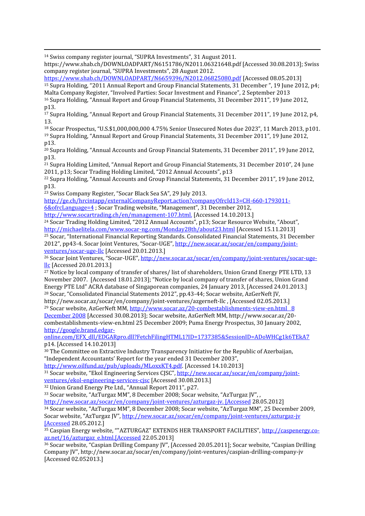<sup>14</sup> Swiss company register journal, "SUPRA Investments", 31 August 2011.

https://www.shab.ch/DOWNLOADPART/N6151786/N2011.06321648.pdf [Accessed 30.08.2013]; Swiss company register journal, "SUPRA Investments", 28 August 2012.

https://www.shab.ch/DOWNLOADPART/N6659396/N2012.06825080.pdf [Accessed 08.05.2013]

<sup>15</sup> Supra Holding, "2011 Annual Report and Group Financial Statements, 31 December ", 19 June 2012, p4; Malta Company Register, "Involved Parties: Socar Investment and Finance", 2 September 2013

<sup>16</sup> Supra Holding, "Annual Report and Group Financial Statements, 31 December 2011", 19 June 2012, p13.

<sup>17</sup> Supra Holding, "Annual Report and Group Financial Statements, 31 December 2011", 19 June 2012, p4, 13.

<sup>18</sup> Socar Prospectus, "U.S.\$1,000,000,000 4.75% Senior Unsecured Notes due 2023", 11 March 2013, p101. <sup>19</sup> Supra Holding, "Annual Report and Group Financial Statements, 31 December 2011", 19 June 2012, p13.

<sup>20</sup> Supra Holding, "Annual Accounts and Group Financial Statements, 31 December 2011", 19 June 2012, p13.

<sup>21</sup> Supra Holding Limited, "Annual Report and Group Financial Statements, 31 December 2010", 24 June 2011, p13; Socar Trading Holding Limited, "2012 Annual Accounts", p13

<sup>22</sup> Supra Holding, "Annual Accounts and Group Financial Statements, 31 December 2011", 19 June 2012, p13.

<sup>23</sup> Swiss Company Register, "Socar Black Sea SA", 29 July 2013.

http://ge.ch/hrcintapp/externalCompanyReport.action?companyOfrcId13=CH-660-1793011-

6&ofrcLanguage=4 ; Socar Trading website, "Management", 31 December 2012,

http://www.socartrading.ch/en/management-107.html. [Accessed 14.10.2013.]

<sup>24</sup> Socar Trading Holding Limited, "2012 Annual Accounts", p13; Socar Resource Website, "About", http://michaelitela.com/www.socar-ng.com/Monday28th/about23.html [Accessed 15.11.2013]

<sup>25</sup> Socar, "International Financial Reporting Standards. Consolidated Financial Statements, 31 December 2012", pp43-4. Socar Joint Ventures, "Socar-UGE", http://new.socar.az/socar/en/company/joint ventures/socar-uge-llc [Accessed 20.01.2013.]

<sup>26</sup> Socar Joint Ventures, "Socar-UGE", http://new.socar.az/socar/en/company/joint-ventures/socar-ugellc [Accessed 20.01.2013.]

<sup>27</sup> Notice by local company of transfer of shares/ list of shareholders, Union Grand Energy PTE LTD, 13 November 2007. [Accessed 18.01.2013]; "Notice by local company of transfer of shares, Union Grand Energy PTE Ltd" ACRA database of Singaporean companies, 24 January 2013, [Accessed 24.01.2013.] <sup>28</sup> Socar, "Consolidated Financial Statements 2012", pp.43-44; Socar website, AzGerNeft JV,

http://new.socar.az/socar/en/company/joint-ventures/azgerneft-llc , [Accessed 02.05.2013.] <sup>29</sup> Socar website, AzGerNeft MM, http://www.socar.az/20-combestablishments-view-en.html 8

December 2008 [Accessed 30.08.2013]; Socar website, AzGerNeft MM, http://www.socar.az/20 combestablishments-view-en.html 25 December 2009; Puma Energy Prospectus, 30 January 2002, http://google.brand.edgar-

online.com/EFX\_dll/EDGARpro.dll?FetchFilingHTML1?ID=1737385&SessionID=ADoWHCg1k6TEkA7 p14. [Accessed 14.10.2013]

<sup>30</sup> The Committee on Extractive Industry Transparency Initiative for the Republic of Azerbaijan, "Independent Accountants' Report for the year ended 31 December 2003",

http://www.oilfund.az/pub/uploads/MLoxxKT4.pdf. [Accessed 14.10.2013]

<sup>31</sup> Socar website, "Ekol Engineering Services CJSC", http://new.socar.az/socar/en/company/joint ventures/ekol-engineering-services-cjsc [Accessed 30.08.2013.]

<sup>32</sup> Union Grand Energy Pte Ltd., "Annual Report 2011", p27.

<sup>33</sup> Socar website, "AzTurgaz MM", 8 December 2008; Socar website, "AzTurgaz JV", ,

http://new.socar.az/socar/en/company/joint-ventures/azturgaz-jv. [Accessed 28.05.2012] <sup>34</sup> Socar website, "AzTurgaz MM", 8 December 2008; Socar website, "AzTurgaz MM", 25 December 2009, Socar website, "AzTurgaz JV", http://new.socar.az/socar/en/company/joint-ventures/azturgaz-jv [Accessed 28.05.2012.]

<sup>35</sup> Caspian Energy website, ""AZTURGAZ" EXTENDS HER TRANSPORT FACILITIES", http://caspenergy.co az.net/16/azturgaz\_e.html.[Accessed 22.05.2013]

<sup>36</sup> Socar website, "Caspian Drilling Company JV", [Accessed 20.05.2011]; Socar website, "Caspian Drilling Company JV", http://new.socar.az/socar/en/company/joint-ventures/caspian-drilling-company-jv [Accessed 02.052013.]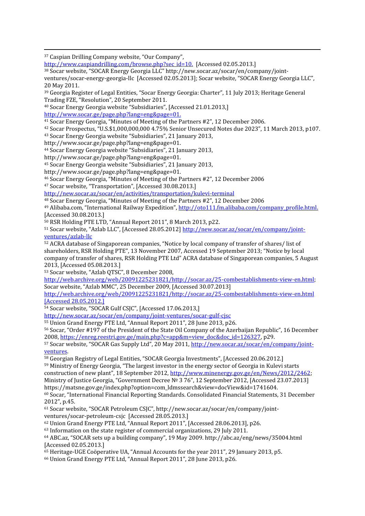<sup>37</sup> Caspian Drilling Company website, "Our Company",

http://www.caspiandrilling.com/browse.php?sec\_id=10. [Accessed 02.05.2013.]

<sup>38</sup> Socar website, "SOCAR Energy Georgia LLC" http://new.socar.az/socar/en/company/joint ventures/socar-energy-georgia-llc [Accessed 02.05.2013]; Socar website, "SOCAR Energy Georgia LLC", 20 May 2011.

<sup>39</sup> Georgia Register of Legal Entities, "Socar Energy Georgia: Charter", 11 July 2013; Heritage General Trading FZE, "Resolution", 20 September 2011.

<sup>40</sup> Socar Energy Georgia website "Subsidiaries", [Accessed 21.01.2013,]

http://www.socar.ge/page.php?lang=eng&page=01.

<sup>41</sup> Socar Energy Georgia, "Minutes of Meeting of the Partners #2", 12 December 2006.

<sup>42</sup> Socar Prospectus, "U.S.\$1,000,000,000 4.75% Senior Unsecured Notes due 2023", 11 March 2013, p107.

<sup>43</sup> Socar Energy Georgia website "Subsidiaries", 21 January 2013,

http://www.socar.ge/page.php?lang=eng&page=01.

<sup>44</sup> Socar Energy Georgia website "Subsidiaries", 21 January 2013,

http://www.socar.ge/page.php?lang=eng&page=01.

<sup>45</sup> Socar Energy Georgia website "Subsidiaries", 21 January 2013,

http://www.socar.ge/page.php?lang=eng&page=01.

<sup>46</sup> Socar Energy Georgia, "Minutes of Meeting of the Partners #2", 12 December 2006

<sup>47</sup> Socar website, "Transportation", [Accessed 30.08.2013.]

http://new.socar.az/socar/en/activities/transportation/kulevi-terminal

<sup>48</sup> Socar Energy Georgia, "Minutes of Meeting of the Partners #2", 12 December 2006

<sup>49</sup> Alibaba.com, "International Railway Expedition", http://oto111.fm.alibaba.com/company\_profile.html. [Accessed 30.08.2013.]

<sup>50</sup> RSR Holding PTE LTD, "Annual Report 2011", 8 March 2013, p22.

<sup>51</sup> Socar website, "Azlab LLC", [Accessed 28.05.2012] http://new.socar.az/socar/en/company/joint ventures/azlab-llc

<sup>52</sup> ACRA database of Singaporean companies, "Notice by local company of transfer of shares/ list of shareholders, RSR Holding PTE", 13 November 2007, Accessed 19 September 2013; "Notice by local company of transfer of shares, RSR Holding PTE Ltd" ACRA database of Singaporean companies, 5 August 2013, [Accessed 05.08.2013.]

<sup>53</sup> Socar website, "Azlab QTSC", 8 December 2008,

http://web.archive.org/web/20091225231821/http://socar.az/25-combestablishments-view-en.html; Socar website, "Azlab MMC", 25 December 2009, [Accessed 30.07.2013]

http://web.archive.org/web/20091225231821/http://socar.az/25-combestablishments-view-en.html [Accessed 28.05.2012.]

<sup>54</sup> Socar website, "SOCAR Gulf CSJC", [Accessed 17.06.2013,]

http://new.socar.az/socar/en/company/joint-ventures/socar-gulf-cjsc

<sup>55</sup> Union Grand Energy PTE Ltd, "Annual Report 2011", 28 June 2013, p26.

<sup>56</sup> Socar, "Order #197 of the President of the State Oil Company of the Azerbaijan Republic", 16 December 2008, https://enreg.reestri.gov.ge/main.php?c=app&m=view\_doc&doc\_id=126327, p29.

57 Socar website, "SOCAR Gas Supply Ltd", 20 May 2011, http://new.socar.az/socar/en/company/jointventures.

<sup>58</sup> Georgian Registry of Legal Entities, "SOCAR Georgia Investments", [Accessed 20.06.2012.]

<sup>59</sup> Ministry of Energy Georgia, "The largest investor in the energy sector of Georgia in Kulevi starts

construction of new plant", 18 September 2012, http://www.minenergy.gov.ge/en/News/2012/2462; Ministry of Justice Georgia, "Government Decree № 3 76", 12 September 2012, [Accessed 23.07.2013] https://matsne.gov.ge/index.php?option=com\_ldmssearch&view=docView&id=1741604.

<sup>60</sup> Socar, "International Financial Reporting Standards. Consolidated Financial Statements, 31 December 2012", p.45.

<sup>61</sup> Socar website, "SOCAR Petroleum CSJC", http://new.socar.az/socar/en/company/joint ventures/socar-petroleum-csjc [Accessed 28.05.2013.]

<sup>62</sup> Union Grand Energy PTE Ltd, "Annual Report 2011", [Accessed 28.06.2013], p26.

<sup>63</sup> Information on the state register of commercial organizations, 29 July 2011.

<sup>64</sup> ABC.az, "SOCAR sets up a building company", 19 May 2009. http://abc.az/eng/news/35004.html [Accessed 02.05.2013.]

<sup>65</sup> Heritage-UGE Coöperative UA, "Annual Accounts for the year 2011", 29 January 2013, p5.

<sup>66</sup> Union Grand Energy PTE Ltd, "Annual Report 2011", 28 June 2013, p26.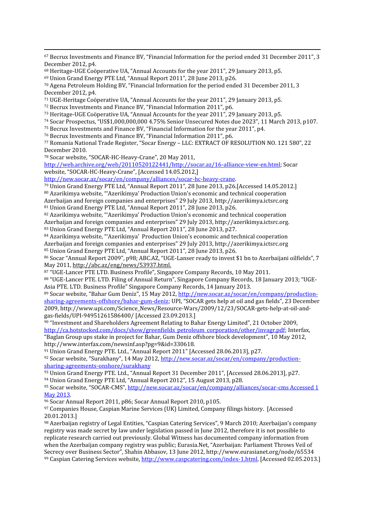<sup>67</sup> Becrux Investments and Finance BV, "Financial Information for the period ended 31 December 2011", 3 December 2012, p4.

<sup>68</sup> Heritage-UGE Coöperative UA, "Annual Accounts for the year 2011", 29 January 2013, p5.

<sup>69</sup> Union Grand Energy PTE Ltd, "Annual Report 2011", 28 June 2013, p26.

<sup>70</sup> Agena Petroleum Holding BV, "Financial Information for the period ended 31 December 2011, 3 December 2012, p4.

- <sup>71</sup> UGE-Heritage Coöperative UA, "Annual Accounts for the year 2011", 29 January 2013, p5.
- <sup>72</sup> Becrux Investments and Finance BV, "Financial Information 2011", p6.
- <sup>73</sup> Heritage-UGE Coöperative UA, "Annual Accounts for the year 2011", 29 January 2013, p5.
- <sup>74</sup> Socar Prospectus, "US\$1,000,000,000 4.75% Senior Unsecured Notes due 2023", 11 March 2013, p107.
- <sup>75</sup> Becrux Investments and Finance BV, "Financial Information for the year 2011", p4.

<sup>76</sup> Becrux Investments and Finance BV, "Financial Information 2011", p6.

<sup>77</sup> Romania National Trade Register, "Socar Energy – LLC: EXTRACT OF RESOLUTION NO. 121 580", 22 December 2010.

<sup>78</sup> Socar website, "SOCAR-HC-Heavy-Crane", 20 May 2011,

http://web.archive.org/web/20110520122441/http://socar.az/16-alliance-view-en.html; Socar website, "SOCAR-HC-Heavy-Crane", [Accessed 14.05.2012,]

http://new.socar.az/socar/en/company/alliances/socar-hc-heavy-crane.

 Union Grand Energy PTE Ltd, "Annual Report 2011", 28 June 2013, p26.[Accessed 14.05.2012.] Azərikimya website, "'Azerikimya' Production Union's economic and technical cooperation Azerbaijan and foreign companies and enterprises" 29 July 2013, http://azerikimya.ictsrc.org Union Grand Energy PTE Ltd, "Annual Report 2011", 28 June 2013, p26.

<sup>82</sup> Azərikimya website, "'Azerikimya' Production Union's economic and technical cooperation Azerbaijan and foreign companies and enterprises" 29 July 2013, http://azerikimya.ictsrc.org. <sup>83</sup> Union Grand Energy PTE Ltd, "Annual Report 2011", 28 June 2013, p27.

<sup>84</sup> Azərikimya website, "'Azerikimya' Production Union's economic and technical cooperation Azerbaijan and foreign companies and enterprises" 29 July 2013, http://azerikimya.ictsrc.org 85 Union Grand Energy PTE Ltd, "Annual Report 2011", 28 June 2013, p26.

<sup>86</sup> Socar "Annual Report 2009", p98; ABC.AZ, "UGE-Lanser ready to invest \$1 bn to Azerbaijani oilfields", 7 May 2011, http://abc.az/eng/news/53937.html.

<sup>87</sup> "UGE-Lancer PTE LTD. Business Profile", Singapore Company Records, 10 May 2011.

<sup>88</sup> "UGE-Lancer PTE. LTD. Filing of Annual Return", Singapore Company Records, 18 January 2013; "UGE- Asia PTE. LTD. Business Profile" Singapore Company Records, 14 January 2013.

<sup>89</sup> Socar website, "Bahar Gum Deniz", 15 May 2012, http://new.socar.az/socar/en/company/production sharing-agreements-offshore/bahar-gum-deniz; UPI, "SOCAR gets help at oil and gas fields", 23 December 2009, http://www.upi.com/Science\_News/Resource-Wars/2009/12/23/SOCAR-gets-help-at-oil-and gas-fields/UPI-94951261586400/ [Accessed 23.09.2013.]

<sup>90</sup> "Investment and Shareholders Agreement Relating to Bahar Energy Limited", 21 October 2009, http://ca.hotstocked.com/docs/show/greenfields\_petroleum\_corporation/other/invagr.pdf; Interfax, "Baglan Group ups stake in project for Bahar, Gum Deniz offshore block development", 10 May 2012, http://www.interfax.com/newsinf.asp?pg=9&id=330618.

<sup>91</sup> Union Grand Energy PTE. Ltd., "Annual Report 2011" [Accessed 28.06.2013], p27.

92 Socar website, "Surakhany", 14 May 2012, http://new.socar.az/socar/en/company/productionsharing-agreements-onshore/surakhany

<sup>93</sup> Union Grand Energy PTE. Ltd., "Annual Report 31 December 2011", [Accessed 28.06.2013], p27.

<sup>94</sup> Union Grand Energy PTE Ltd, "Annual Report 2012", 15 August 2013, p28.

<sup>95</sup> Socar website, "SOCAR-CMS", http://new.socar.az/socar/en/company/alliances/socar-cms Accessed 1 May 2013.

<sup>96</sup> Socar Annual Report 2011, p86; Socar Annual Report 2010, p105.

<sup>97</sup> Companies House, Caspian Marine Services (UK) Limited, Company filings history. [Accessed 20.01.2013.]

<sup>98</sup> Azerbaijan registry of Legal Entities, "Caspian Catering Services", 9 March 2010; Azerbaijan's company registry was made secret by law under legislation passed in June 2012, therefore it is not possible to replicate research carried out previously. Global Witness has documented company information from when the Azerbaijan company registry was public; Eurasia.Net, "Azerbaijan: Parliament Throws Veil of Secrecy over Business Sector", Shahin Abbasov, 13 June 2012, http://www.eurasianet.org/node/65534 <sup>99</sup> Caspian Catering Services website, http://www.caspcatering.com/index-1.html, [Accessed 02.05.2013.]